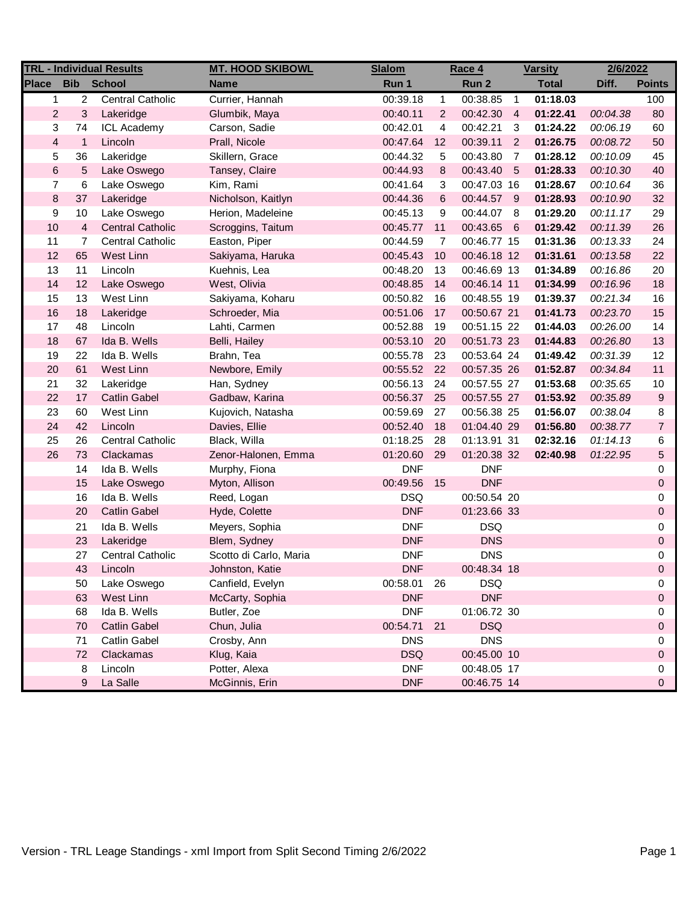| <b>TRL - Individual Results</b> |                   |                         | <b>MT. HOOD SKIBOWL</b> | <b>Slalom</b><br>Race 4 |                |             | <b>Varsity</b> |              | 2/6/2022 |                |
|---------------------------------|-------------------|-------------------------|-------------------------|-------------------------|----------------|-------------|----------------|--------------|----------|----------------|
| <b>Place</b>                    | <b>Bib</b> School |                         | <b>Name</b>             | Run 1                   |                | Run 2       |                | <b>Total</b> | Diff.    | <b>Points</b>  |
| $\mathbf{1}$                    | $\overline{c}$    | <b>Central Catholic</b> | Currier, Hannah         | 00:39.18                | $\mathbf{1}$   | 00:38.85    | $\overline{1}$ | 01:18.03     |          | 100            |
| $\mathbf{2}$                    | 3                 | Lakeridge               | Glumbik, Maya           | 00:40.11                | $\overline{2}$ | 00:42.30    | $\overline{4}$ | 01:22.41     | 00:04.38 | 80             |
| 3                               | 74                | <b>ICL Academy</b>      | Carson, Sadie           | 00:42.01                | 4              | 00:42.21    | 3              | 01:24.22     | 00:06.19 | 60             |
| $\overline{4}$                  | $\mathbf{1}$      | Lincoln                 | Prall, Nicole           | 00:47.64                | 12             | 00:39.11    | $\overline{2}$ | 01:26.75     | 00:08.72 | 50             |
| 5                               | 36                | Lakeridge               | Skillern, Grace         | 00:44.32                | 5              | 00:43.80    | $\overline{7}$ | 01:28.12     | 00:10.09 | 45             |
| $\,6\,$                         | 5                 | Lake Oswego             | Tansey, Claire          | 00:44.93                | 8              | 00:43.40 5  |                | 01:28.33     | 00:10.30 | 40             |
| $\overline{7}$                  | $\,6$             | Lake Oswego             | Kim, Rami               | 00:41.64                | 3              | 00:47.03 16 |                | 01:28.67     | 00:10.64 | 36             |
| $\bf 8$                         | 37                | Lakeridge               | Nicholson, Kaitlyn      | 00:44.36                | 6              | 00:44.57 9  |                | 01:28.93     | 00:10.90 | 32             |
| 9                               | 10                | Lake Oswego             | Herion, Madeleine       | 00:45.13                | 9              | 00:44.07 8  |                | 01:29.20     | 00:11.17 | 29             |
| 10                              | $\overline{4}$    | <b>Central Catholic</b> | Scroggins, Taitum       | 00:45.77                | 11             | 00:43.65 6  |                | 01:29.42     | 00:11.39 | 26             |
| 11                              | $\overline{7}$    | Central Catholic        | Easton, Piper           | 00:44.59                | $\overline{7}$ | 00:46.77 15 |                | 01:31.36     | 00:13.33 | 24             |
| 12                              | 65                | West Linn               | Sakiyama, Haruka        | 00:45.43                | 10             | 00:46.18 12 |                | 01:31.61     | 00:13.58 | 22             |
| 13                              | 11                | Lincoln                 | Kuehnis, Lea            | 00:48.20                | 13             | 00:46.69 13 |                | 01:34.89     | 00:16.86 | 20             |
| 14                              | 12                | Lake Oswego             | West, Olivia            | 00:48.85                | 14             | 00:46.14 11 |                | 01:34.99     | 00:16.96 | 18             |
| 15                              | 13                | West Linn               | Sakiyama, Koharu        | 00:50.82                | 16             | 00:48.55 19 |                | 01:39.37     | 00:21.34 | 16             |
| 16                              | 18                | Lakeridge               | Schroeder, Mia          | 00:51.06                | 17             | 00:50.67 21 |                | 01:41.73     | 00:23.70 | 15             |
| 17                              | 48                | Lincoln                 | Lahti, Carmen           | 00:52.88                | 19             | 00:51.15 22 |                | 01:44.03     | 00:26.00 | 14             |
| 18                              | 67                | Ida B. Wells            | Belli, Hailey           | 00:53.10                | 20             | 00:51.73 23 |                | 01:44.83     | 00:26.80 | 13             |
| 19                              | 22                | Ida B. Wells            | Brahn, Tea              | 00:55.78                | 23             | 00:53.64 24 |                | 01:49.42     | 00:31.39 | 12             |
| 20                              | 61                | West Linn               | Newbore, Emily          | 00:55.52                | 22             | 00:57.35 26 |                | 01:52.87     | 00:34.84 | 11             |
| 21                              | 32                | Lakeridge               | Han, Sydney             | 00:56.13                | 24             | 00:57.55 27 |                | 01:53.68     | 00:35.65 | 10             |
| 22                              | 17                | <b>Catlin Gabel</b>     | Gadbaw, Karina          | 00:56.37                | 25             | 00:57.55 27 |                | 01:53.92     | 00:35.89 | 9              |
| 23                              | 60                | West Linn               | Kujovich, Natasha       | 00:59.69                | 27             | 00:56.38 25 |                | 01:56.07     | 00:38.04 | 8              |
| 24                              | 42                | Lincoln                 | Davies, Ellie           | 00:52.40                | 18             | 01:04.40 29 |                | 01:56.80     | 00:38.77 | $\overline{7}$ |
| 25                              | 26                | <b>Central Catholic</b> | Black, Willa            | 01:18.25                | 28             | 01:13.91 31 |                | 02:32.16     | 01:14.13 | 6              |
| 26                              | 73                | Clackamas               | Zenor-Halonen, Emma     | 01:20.60                | 29             | 01:20.38 32 |                | 02:40.98     | 01:22.95 | 5              |
|                                 | 14                | Ida B. Wells            | Murphy, Fiona           | <b>DNF</b>              |                | <b>DNF</b>  |                |              |          | 0              |
|                                 | 15                | Lake Oswego             | Myton, Allison          | 00:49.56                | 15             | <b>DNF</b>  |                |              |          | 0              |
|                                 | 16                | Ida B. Wells            | Reed, Logan             | <b>DSQ</b>              |                | 00:50.54 20 |                |              |          | 0              |
|                                 | 20                | <b>Catlin Gabel</b>     | Hyde, Colette           | <b>DNF</b>              |                | 01:23.66 33 |                |              |          | 0              |
|                                 | 21                | Ida B. Wells            | Meyers, Sophia          | <b>DNF</b>              |                | <b>DSQ</b>  |                |              |          | 0              |
|                                 | 23                | Lakeridge               | Blem, Sydney            | <b>DNF</b>              |                | <b>DNS</b>  |                |              |          | 0              |
|                                 | 27                | <b>Central Catholic</b> | Scotto di Carlo, Maria  | <b>DNF</b>              |                | <b>DNS</b>  |                |              |          | 0              |
|                                 | 43                | Lincoln                 | Johnston, Katie         | <b>DNF</b>              |                | 00:48.34 18 |                |              |          | $\Omega$       |
|                                 | 50                | Lake Oswego             | Canfield, Evelyn        | 00:58.01                | 26             | <b>DSQ</b>  |                |              |          | 0              |
|                                 | 63                | West Linn               | McCarty, Sophia         | <b>DNF</b>              |                | <b>DNF</b>  |                |              |          | 0              |
|                                 | 68                | Ida B. Wells            | Butler, Zoe             | <b>DNF</b>              |                | 01:06.72 30 |                |              |          | 0              |
|                                 | 70                | <b>Catlin Gabel</b>     | Chun, Julia             | 00:54.71                | 21             | <b>DSQ</b>  |                |              |          | 0              |
|                                 | 71                | <b>Catlin Gabel</b>     | Crosby, Ann             | <b>DNS</b>              |                | <b>DNS</b>  |                |              |          | 0              |
|                                 | 72                | Clackamas               | Klug, Kaia              | <b>DSQ</b>              |                | 00:45.00 10 |                |              |          | 0              |
|                                 | 8                 | Lincoln                 | Potter, Alexa           | <b>DNF</b>              |                | 00:48.05 17 |                |              |          | 0              |
|                                 | 9                 | La Salle                | McGinnis, Erin          | <b>DNF</b>              |                | 00:46.75 14 |                |              |          | 0              |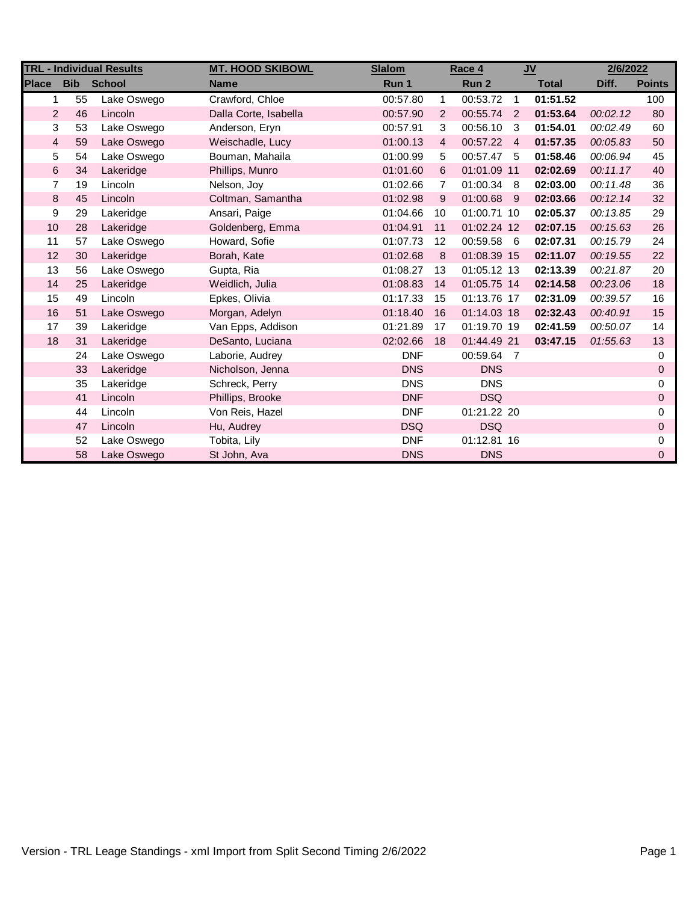| <b>TRL - Individual Results</b> |            |               | <b>MT. HOOD SKIBOWL</b> | <b>Slalom</b> | Race 4         |                  | $u$            |              | 2/6/2022 |                     |
|---------------------------------|------------|---------------|-------------------------|---------------|----------------|------------------|----------------|--------------|----------|---------------------|
| <b>Place</b>                    | <b>Bib</b> | <b>School</b> | <b>Name</b>             | Run 1         |                | Run <sub>2</sub> |                | <b>Total</b> | Diff.    | <b>Points</b>       |
| 1.                              | 55         | Lake Oswego   | Crawford, Chloe         | 00:57.80      | $\mathbf{1}$   | 00:53.72         | $\overline{1}$ | 01:51.52     |          | 100                 |
| $\overline{2}$                  | 46         | Lincoln       | Dalla Corte, Isabella   | 00:57.90      | 2              | 00:55.74 2       |                | 01:53.64     | 00:02.12 | 80                  |
| 3                               | 53         | Lake Oswego   | Anderson, Eryn          | 00:57.91      | 3              | 00:56.10         | - 3            | 01:54.01     | 00:02.49 | 60                  |
| $\overline{4}$                  | 59         | Lake Oswego   | Weischadle, Lucy        | 01:00.13      | $\overline{4}$ | 00:57.22 4       |                | 01:57.35     | 00:05.83 | 50                  |
| 5                               | 54         | Lake Oswego   | Bouman, Mahaila         | 01:00.99      | 5              | 00:57.47 5       |                | 01:58.46     | 00:06.94 | 45                  |
| $\,6\,$                         | 34         | Lakeridge     | Phillips, Munro         | 01:01.60      | 6              | 01:01.09 11      |                | 02:02.69     | 00:11.17 | 40                  |
| $\overline{7}$                  | 19         | Lincoln       | Nelson, Joy             | 01:02.66      | 7              | 01:00.34 8       |                | 02:03.00     | 00:11.48 | 36                  |
| $\bf 8$                         | 45         | Lincoln       | Coltman, Samantha       | 01:02.98      | 9              | 01:00.68 9       |                | 02:03.66     | 00:12.14 | 32                  |
| 9                               | 29         | Lakeridge     | Ansari, Paige           | 01:04.66      | 10             | 01:00.71 10      |                | 02:05.37     | 00:13.85 | 29                  |
| 10                              | 28         | Lakeridge     | Goldenberg, Emma        | 01:04.91      | 11             | 01:02.24 12      |                | 02:07.15     | 00:15.63 | 26                  |
| 11                              | 57         | Lake Oswego   | Howard, Sofie           | 01:07.73      | 12             | 00:59.58 6       |                | 02:07.31     | 00:15.79 | 24                  |
| 12                              | 30         | Lakeridge     | Borah, Kate             | 01:02.68      | 8              | 01:08.39 15      |                | 02:11.07     | 00:19.55 | 22                  |
| 13                              | 56         | Lake Oswego   | Gupta, Ria              | 01:08.27      | 13             | 01:05.12 13      |                | 02:13.39     | 00:21.87 | 20                  |
| 14                              | 25         | Lakeridge     | Weidlich, Julia         | 01:08.83      | 14             | 01:05.75 14      |                | 02:14.58     | 00:23.06 | 18                  |
| 15                              | 49         | Lincoln       | Epkes, Olivia           | 01:17.33      | 15             | 01:13.76 17      |                | 02:31.09     | 00:39.57 | 16                  |
| 16                              | 51         | Lake Oswego   | Morgan, Adelyn          | 01:18.40      | 16             | 01:14.03 18      |                | 02:32.43     | 00:40.91 | 15                  |
| 17                              | 39         | Lakeridge     | Van Epps, Addison       | 01:21.89      | 17             | 01:19.70 19      |                | 02:41.59     | 00:50.07 | 14                  |
| 18                              | 31         | Lakeridge     | DeSanto, Luciana        | 02:02.66      | 18             | 01:44.49 21      |                | 03:47.15     | 01:55.63 | 13                  |
|                                 | 24         | Lake Oswego   | Laborie, Audrey         | <b>DNF</b>    |                | 00:59.64 7       |                |              |          | 0                   |
|                                 | 33         | Lakeridge     | Nicholson, Jenna        | <b>DNS</b>    |                | <b>DNS</b>       |                |              |          | $\mathbf 0$         |
|                                 | 35         | Lakeridge     | Schreck, Perry          | <b>DNS</b>    |                | <b>DNS</b>       |                |              |          | 0                   |
|                                 | 41         | Lincoln       | Phillips, Brooke        | <b>DNF</b>    |                | <b>DSQ</b>       |                |              |          | $\mathbf 0$         |
|                                 | 44         | Lincoln       | Von Reis, Hazel         | <b>DNF</b>    |                | 01:21.22 20      |                |              |          | 0                   |
|                                 | 47         | Lincoln       | Hu, Audrey              | <b>DSQ</b>    |                | <b>DSQ</b>       |                |              |          | $\mathsf{O}\xspace$ |
|                                 | 52         | Lake Oswego   | Tobita, Lily            | <b>DNF</b>    |                | 01:12.81 16      |                |              |          | 0                   |
|                                 | 58         | Lake Oswego   | St John, Ava            | <b>DNS</b>    |                | <b>DNS</b>       |                |              |          | $\mathbf 0$         |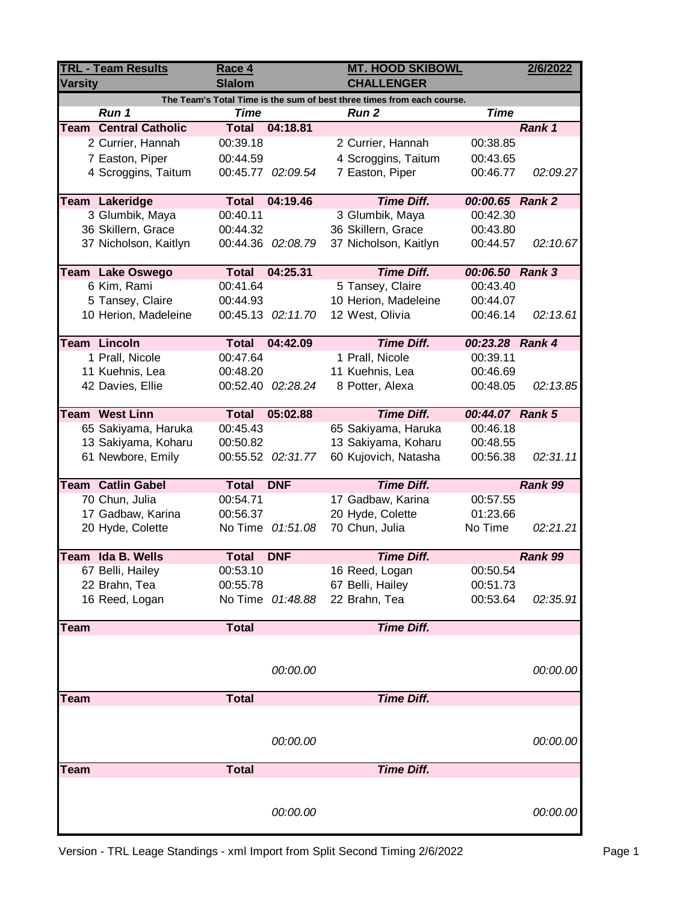| Run 1                    | <b>TRL - Team Results</b><br><b>Varsity</b> |              |                   |                    | <b>CHALLENGER</b>                                                      | <b>MT. HOOD SKIBOWL</b> | 2/6/2022 |
|--------------------------|---------------------------------------------|--------------|-------------------|--------------------|------------------------------------------------------------------------|-------------------------|----------|
|                          |                                             |              |                   |                    | The Team's Total Time is the sum of best three times from each course. |                         |          |
|                          |                                             | <b>Time</b>  |                   | <b>Run 2</b>       |                                                                        | <b>Time</b>             |          |
|                          | <b>Team Central Catholic</b>                | <b>Total</b> | 04:18.81          |                    |                                                                        |                         | Rank 1   |
|                          | 2 Currier, Hannah                           | 00:39.18     |                   |                    | 2 Currier, Hannah                                                      | 00:38.85                |          |
|                          | 7 Easton, Piper                             | 00:44.59     |                   |                    | 4 Scroggins, Taitum                                                    | 00:43.65                |          |
|                          | 4 Scroggins, Taitum                         |              | 00:45.77 02:09.54 | 7 Easton, Piper    |                                                                        | 00:46.77                | 02:09.27 |
| Team Lakeridge           |                                             | <b>Total</b> | 04:19.46          |                    | <b>Time Diff.</b>                                                      | 00:00.65 Rank 2         |          |
|                          | 3 Glumbik, Maya                             | 00:40.11     |                   | 3 Glumbik, Maya    |                                                                        | 00:42.30                |          |
|                          | 36 Skillern, Grace                          | 00:44.32     |                   | 36 Skillern, Grace |                                                                        | 00:43.80                |          |
|                          | 37 Nicholson, Kaitlyn                       |              | 00:44.36 02:08.79 |                    | 37 Nicholson, Kaitlyn                                                  | 00:44.57                | 02:10.67 |
| Team Lake Oswego         |                                             | <b>Total</b> | 04:25.31          |                    | <b>Time Diff.</b>                                                      | 00:06.50 Rank 3         |          |
|                          | 6 Kim, Rami                                 | 00:41.64     |                   | 5 Tansey, Claire   |                                                                        | 00:43.40                |          |
|                          | 5 Tansey, Claire                            | 00:44.93     |                   |                    | 10 Herion, Madeleine                                                   | 00:44.07                |          |
|                          | 10 Herion, Madeleine                        |              | 00:45.13 02:11.70 | 12 West, Olivia    |                                                                        | 00:46.14                | 02:13.61 |
|                          |                                             |              |                   |                    |                                                                        |                         |          |
| <b>Team Lincoln</b>      |                                             | <b>Total</b> | 04:42.09          |                    | <b>Time Diff.</b>                                                      | 00:23.28 Rank 4         |          |
|                          | 1 Prall, Nicole                             | 00:47.64     |                   | 1 Prall, Nicole    |                                                                        | 00:39.11                |          |
|                          | 11 Kuehnis, Lea                             | 00:48.20     |                   | 11 Kuehnis, Lea    |                                                                        | 00:46.69                |          |
|                          | 42 Davies, Ellie                            |              | 00:52.40 02:28.24 | 8 Potter, Alexa    |                                                                        | 00:48.05                | 02:13.85 |
|                          |                                             |              |                   |                    |                                                                        |                         |          |
| <b>Team West Linn</b>    |                                             | <b>Total</b> | 05:02.88          |                    | <b>Time Diff.</b>                                                      | 00:44.07 Rank 5         |          |
|                          | 65 Sakiyama, Haruka                         | 00:45.43     |                   |                    | 65 Sakiyama, Haruka                                                    | 00:46.18                |          |
|                          | 13 Sakiyama, Koharu                         | 00:50.82     |                   |                    | 13 Sakiyama, Koharu                                                    | 00:48.55                |          |
|                          | 61 Newbore, Emily                           |              | 00:55.52 02:31.77 |                    | 60 Kujovich, Natasha                                                   | 00:56.38                | 02:31.11 |
| <b>Team Catlin Gabel</b> |                                             | <b>Total</b> | <b>DNF</b>        |                    | <b>Time Diff.</b>                                                      |                         | Rank 99  |
|                          | 70 Chun, Julia                              | 00:54.71     |                   | 17 Gadbaw, Karina  |                                                                        | 00:57.55                |          |
|                          | 17 Gadbaw, Karina                           | 00:56.37     |                   | 20 Hyde, Colette   |                                                                        | 01:23.66                |          |
|                          | 20 Hyde, Colette                            |              | No Time 01:51.08  | 70 Chun, Julia     |                                                                        | No Time                 | 02:21.21 |
|                          |                                             |              |                   |                    |                                                                        |                         |          |
| Team Ida B. Wells        |                                             | <b>Total</b> | <b>DNF</b>        |                    | <b>Time Diff.</b>                                                      |                         | Rank 99  |
|                          | 67 Belli, Hailey                            | 00:53.10     |                   | 16 Reed, Logan     |                                                                        | 00:50.54                |          |
| 22 Brahn, Tea            |                                             | 00:55.78     |                   | 67 Belli, Hailey   |                                                                        | 00:51.73                |          |
|                          | 16 Reed, Logan                              |              | No Time 01:48.88  | 22 Brahn, Tea      |                                                                        | 00:53.64                | 02:35.91 |
| <b>Team</b>              |                                             | <b>Total</b> |                   |                    | <b>Time Diff.</b>                                                      |                         |          |
|                          |                                             |              |                   |                    |                                                                        |                         |          |
|                          |                                             |              |                   |                    |                                                                        |                         |          |
|                          |                                             |              | 00:00.00          |                    |                                                                        |                         | 00:00.00 |
| <b>Team</b>              |                                             | <b>Total</b> |                   |                    | <b>Time Diff.</b>                                                      |                         |          |
|                          |                                             |              |                   |                    |                                                                        |                         |          |
|                          |                                             |              |                   |                    |                                                                        |                         |          |
|                          |                                             |              | 00:00.00          |                    |                                                                        |                         | 00:00.00 |
|                          |                                             |              |                   |                    |                                                                        |                         |          |
| <b>Team</b>              |                                             | <b>Total</b> |                   |                    | <b>Time Diff.</b>                                                      |                         |          |
|                          |                                             |              |                   |                    |                                                                        |                         |          |